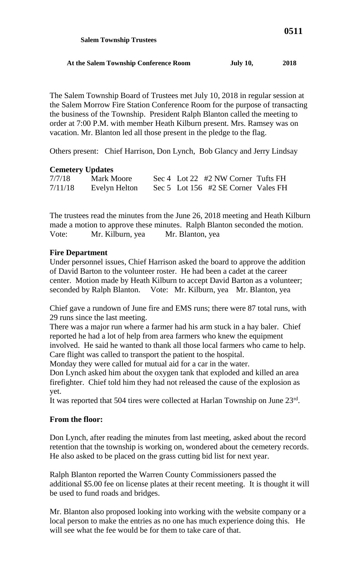| At the Salem Township Conference Room | <b>July 10,</b> | 2018 |
|---------------------------------------|-----------------|------|

The Salem Township Board of Trustees met July 10, 2018 in regular session at the Salem Morrow Fire Station Conference Room for the purpose of transacting the business of the Township. President Ralph Blanton called the meeting to order at 7:00 P.M. with member Heath Kilburn present. Mrs. Ramsey was on vacation. Mr. Blanton led all those present in the pledge to the flag.

Others present: Chief Harrison, Don Lynch, Bob Glancy and Jerry Lindsay

## **Cemetery Updates**

 **Salem Township Trustees**

| 7/7/18  | <b>Mark Moore</b> | Sec 4 Lot 22 #2 NW Corner Tufts FH  |
|---------|-------------------|-------------------------------------|
| 7/11/18 | Evelyn Helton     | Sec 5 Lot 156 #2 SE Corner Vales FH |

The trustees read the minutes from the June 26, 2018 meeting and Heath Kilburn made a motion to approve these minutes. Ralph Blanton seconded the motion. Vote: Mr. Kilburn, yea Mr. Blanton, yea

## **Fire Department**

Under personnel issues, Chief Harrison asked the board to approve the addition of David Barton to the volunteer roster. He had been a cadet at the career center. Motion made by Heath Kilburn to accept David Barton as a volunteer; seconded by Ralph Blanton. Vote: Mr. Kilburn, yea Mr. Blanton, yea

Chief gave a rundown of June fire and EMS runs; there were 87 total runs, with 29 runs since the last meeting.

There was a major run where a farmer had his arm stuck in a hay baler. Chief reported he had a lot of help from area farmers who knew the equipment involved. He said he wanted to thank all those local farmers who came to help. Care flight was called to transport the patient to the hospital.

Monday they were called for mutual aid for a car in the water.

Don Lynch asked him about the oxygen tank that exploded and killed an area firefighter. Chief told him they had not released the cause of the explosion as yet.

It was reported that 504 tires were collected at Harlan Township on June 23rd.

## **From the floor:**

Don Lynch, after reading the minutes from last meeting, asked about the record retention that the township is working on, wondered about the cemetery records. He also asked to be placed on the grass cutting bid list for next year.

Ralph Blanton reported the Warren County Commissioners passed the additional \$5.00 fee on license plates at their recent meeting. It is thought it will be used to fund roads and bridges.

Mr. Blanton also proposed looking into working with the website company or a local person to make the entries as no one has much experience doing this. He will see what the fee would be for them to take care of that.